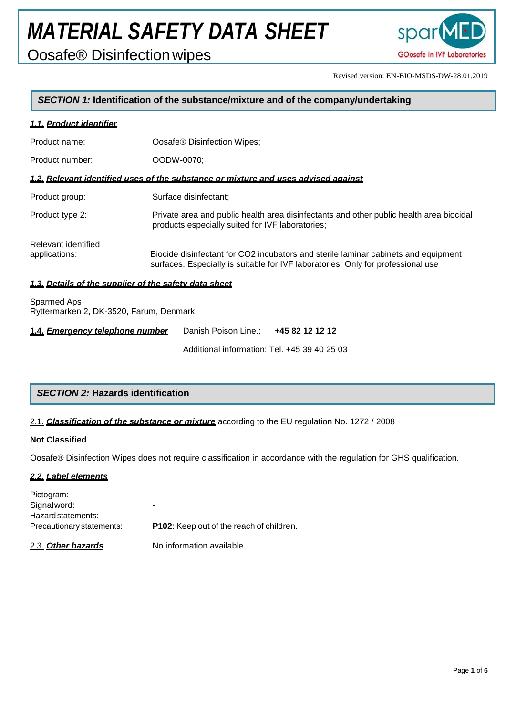Oosafe® Disinfectionwipes



Revised version: EN-BIO-MSDS-DW-28.01.2019

#### *SECTION 1:* **Identification of the substance/mixture and of the company/undertaking**

#### *1.1. Product identifier*

| Product name:                                         | Oosafe <sup>®</sup> Disinfection Wipes;                                                                                                                                |
|-------------------------------------------------------|------------------------------------------------------------------------------------------------------------------------------------------------------------------------|
| Product number:                                       | OODW-0070:                                                                                                                                                             |
|                                                       | 1.2. Relevant identified uses of the substance or mixture and uses advised against                                                                                     |
| Product group:                                        | Surface disinfectant;                                                                                                                                                  |
| Product type 2:                                       | Private area and public health area disinfectants and other public health area biocidal<br>products especially suited for IVF laboratories;                            |
| Relevant identified<br>applications:                  | Biocide disinfectant for CO2 incubators and sterile laminar cabinets and equipment<br>surfaces. Especially is suitable for IVF laboratories. Only for professional use |
| 1.3. Details of the supplier of the safety data sheet |                                                                                                                                                                        |
| Sparmed Aps                                           |                                                                                                                                                                        |

Ryttermarken 2, DK-3520, Farum, Denmark

| 1.4. Emergency telephone number | Danish Poison Line.: 445 82 12 12 12         |  |
|---------------------------------|----------------------------------------------|--|
|                                 | Additional information: Tel. +45 39 40 25 03 |  |

### *SECTION 2:* **Hazards identification**

#### 2.1. *Classification of the substance or mixture* according to the EU regulation No. 1272 / 2008

#### **Not Classified**

Oosafe® Disinfection Wipes does not require classification in accordance with the regulation for GHS qualification.

#### *2.2. Label elements*

| Pictogram:                        | -                                               |
|-----------------------------------|-------------------------------------------------|
| Signalword:<br>Hazard statements: | -<br>-                                          |
| Precautionary statements:         | <b>P102:</b> Keep out of the reach of children. |
| 2.3. Other hazards                | No information available.                       |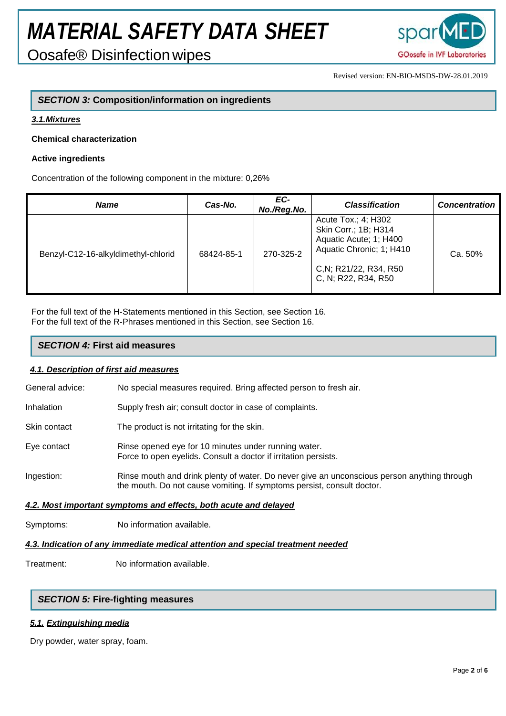Oosafe® Disinfectionwipes



Revised version: EN-BIO-MSDS-DW-28.01.2019

### *SECTION 3:* **Composition/information on ingredients**

#### *3.1.Mixtures*

#### **Chemical characterization**

#### **Active ingredients**

Concentration of the following component in the mixture: 0,26%

| <b>Name</b>                         | Cas-No.    | EC-<br>No./Reg.No. | <b>Classification</b>                                                                                                                              | <b>Concentration</b> |
|-------------------------------------|------------|--------------------|----------------------------------------------------------------------------------------------------------------------------------------------------|----------------------|
| Benzyl-C12-16-alkyldimethyl-chlorid | 68424-85-1 | 270-325-2          | Acute Tox.; 4; H302<br>Skin Corr.; 1B; H314<br>Aquatic Acute; 1; H400<br>Aquatic Chronic; 1; H410<br>C, N; R21/22, R34, R50<br>C, N; R22, R34, R50 | Ca. 50%              |

For the full text of the H-Statements mentioned in this Section, see Section 16. For the full text of the R-Phrases mentioned in this Section, see Section 16.

#### *SECTION 4:* **First aid measures**

#### *4.1. Description of first aid measures*

General advice: No special measures required. Bring affected person to fresh air.

- Inhalation Supply fresh air; consult doctor in case of complaints.
- Skin contact The product is not irritating for the skin.
- Eye contact Rinse opened eye for 10 minutes under running water. Force to open eyelids. Consult a doctor if irritation persists.
- Ingestion: Rinse mouth and drink plenty of water. Do never give an unconscious person anything through the mouth. Do not cause vomiting. If symptoms persist, consult doctor.

### *4.2. Most important symptoms and effects, both acute and delayed*

Symptoms: No information available.

#### *4.3. Indication of any immediate medical attention and special treatment needed*

Treatment: No information available.

#### *SECTION 5:* **Fire-fighting measures**

#### *5.1. Extinguishing media*

Dry powder, water spray, foam.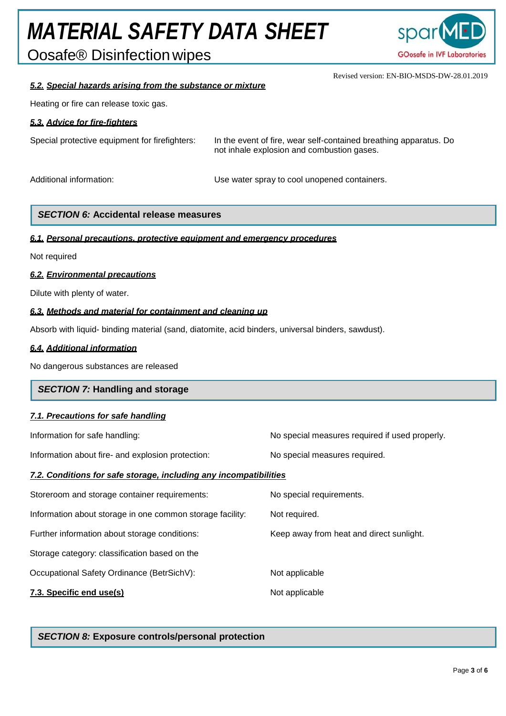Oosafe® Disinfectionwipes



Revised version: EN-BIO-MSDS-DW-28.01.2019

#### *5.2. Special hazards arising from the substance or mixture*

Heating or fire can release toxic gas.

#### *5.3. Advice for fire-fighters*

| Special protective equipment for firefighters: | In the event of fire, wear self-contained breathing apparatus. Do<br>not inhale explosion and combustion gases. |  |
|------------------------------------------------|-----------------------------------------------------------------------------------------------------------------|--|
| Additional information:                        | Use water spray to cool unopened containers.                                                                    |  |

### *SECTION 6:* **Accidental release measures**

#### *6.1. Personal precautions, protective equipment and emergency procedures*

Not required

#### *6.2. Environmental precautions*

Dilute with plenty of water.

#### *6.3. Methods and material for containment and cleaning up*

Absorb with liquid- binding material (sand, diatomite, acid binders, universal binders, sawdust).

#### *6.4. Additional information*

No dangerous substances are released

#### *SECTION 7:* **Handling and storage**

#### *7.1. Precautions for safe handling*

Information about fire- and explosion protection: No special measures required.

Information for safe handling: No special measures required if used properly.

#### *7.2. Conditions for safe storage, including any incompatibilities*

| 7.3. Specific end use(s)                                  | Not applicable                           |
|-----------------------------------------------------------|------------------------------------------|
| Occupational Safety Ordinance (BetrSichV):                | Not applicable                           |
| Storage category: classification based on the             |                                          |
| Further information about storage conditions:             | Keep away from heat and direct sunlight. |
| Information about storage in one common storage facility: | Not required.                            |
| Storeroom and storage container requirements:             | No special requirements.                 |

#### *SECTION 8:* **Exposure controls/personal protection**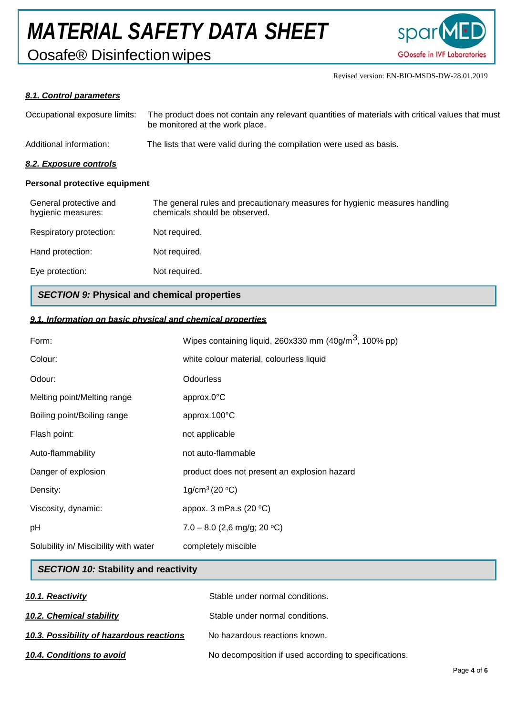Oosafe® Disinfectionwipes



Revised version: EN-BIO-MSDS-DW-28.01.2019

#### *8.1. Control parameters*

| Occupational exposure limits:                | The product does not contain any relevant quantities of materials with critical values that must<br>be monitored at the work place. |
|----------------------------------------------|-------------------------------------------------------------------------------------------------------------------------------------|
| Additional information:                      | The lists that were valid during the compilation were used as basis.                                                                |
| 8.2. Exposure controls                       |                                                                                                                                     |
| <b>Personal protective equipment</b>         |                                                                                                                                     |
| General protective and<br>hygienic measures: | The general rules and precautionary measures for hygienic measures handling<br>chemicals should be observed.                        |
| Respiratory protection:                      | Not required.                                                                                                                       |
| Hand protection:                             | Not required.                                                                                                                       |
| Eye protection:                              | Not required.                                                                                                                       |

#### *SECTION 9:* **Physical and chemical properties**

#### *9.1. Information on basic physical and chemical properties*

| Form:                                 | Wipes containing liquid, 260x330 mm $(40g/m3, 100%$ pp) |
|---------------------------------------|---------------------------------------------------------|
| Colour:                               | white colour material, colourless liquid                |
| Odour:                                | <b>Odourless</b>                                        |
| Melting point/Melting range           | approx.0°C                                              |
| Boiling point/Boiling range           | approx.100°C                                            |
| Flash point:                          | not applicable                                          |
| Auto-flammability                     | not auto-flammable                                      |
| Danger of explosion                   | product does not present an explosion hazard            |
| Density:                              | 1g/cm <sup>3</sup> (20 $^{\circ}$ C)                    |
| Viscosity, dynamic:                   | appox. 3 mPa.s $(20 °C)$                                |
| pH                                    | $7.0 - 8.0$ (2,6 mg/g; 20 °C)                           |
| Solubility in/ Miscibility with water | completely miscible                                     |

#### *SECTION 10:* **Stability and reactivity**

| 10.1. Reactivity                         | Stable under normal conditions.                       |
|------------------------------------------|-------------------------------------------------------|
| 10.2. Chemical stability                 | Stable under normal conditions.                       |
| 10.3. Possibility of hazardous reactions | No hazardous reactions known.                         |
| 10.4. Conditions to avoid                | No decomposition if used according to specifications. |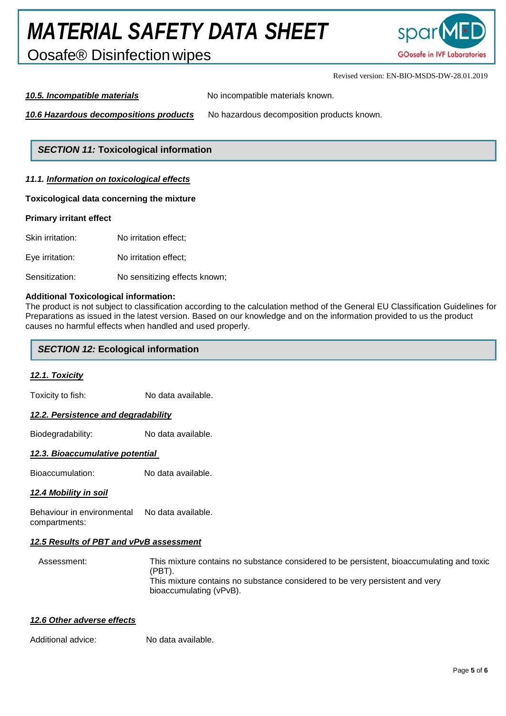Oosafe® Disinfectionwipes



Revised version: EN-BIO-MSDS-DW-28.01.2019

*10.5. Incompatible materials* No incompatible materials known.

*10.6 Hazardous decompositions products* No hazardous decomposition products known.

#### *SECTION 11:* **Toxicological information**

#### *11.1. Information on toxicological effects*

#### **Toxicological data concerning the mixture**

#### **Primary irritant effect**

Skin irritation: No irritation effect; Eye irritation: No irritation effect; Sensitization: No sensitizing effects known;

#### **Additional Toxicological information:**

The product is not subject to classification according to the calculation method of the General EU Classification Guidelines for Preparations as issued in the latest version. Based on our knowledge and on the information provided to us the product causes no harmful effects when handled and used properly.

#### *SECTION 12:* **Ecological information**

#### *12.1. Toxicity*

Toxicity to fish: No data available.

#### *12.2. Persistence and degradability*

Biodegradability: No data available.

#### *12.3. Bioaccumulative potential*

Bioaccumulation: No data available.

#### *12.4 Mobility in soil*

Behaviour in environmental No data available. compartments:

#### *12.5 Results of PBT and vPvB assessment*

Assessment: This mixture contains no substance considered to be persistent, bioaccumulating and toxic (PBT). This mixture contains no substance considered to be very persistent and very bioaccumulating (vPvB).

#### *12.6 Other adverse effects*

Additional advice: No data available.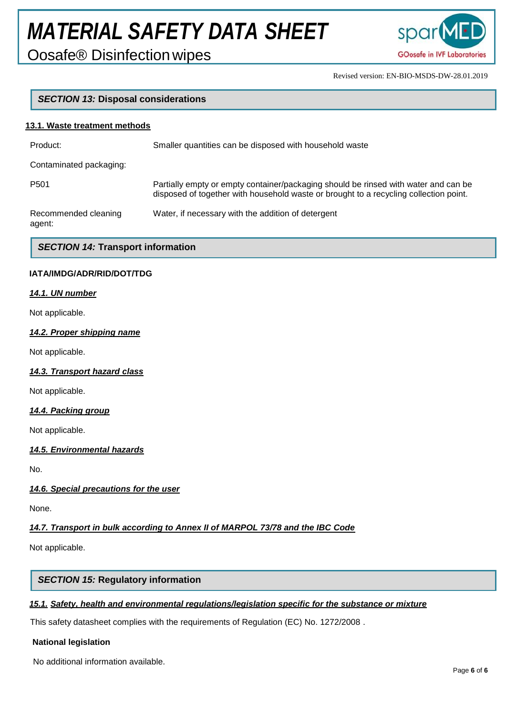Oosafe® Disinfectionwipes



Revised version: EN-BIO-MSDS-DW-28.01.2019

#### *SECTION 13:* **Disposal considerations**

#### **13.1. Waste treatment methods**

| Product:                       | Smaller quantities can be disposed with household waste                                                                                                                      |
|--------------------------------|------------------------------------------------------------------------------------------------------------------------------------------------------------------------------|
| Contaminated packaging:        |                                                                                                                                                                              |
| P <sub>501</sub>               | Partially empty or empty container/packaging should be rinsed with water and can be<br>disposed of together with household waste or brought to a recycling collection point. |
| Recommended cleaning<br>agent: | Water, if necessary with the addition of detergent                                                                                                                           |

#### *SECTION 14:* **Transport information**

#### **IATA/IMDG/ADR/RID/DOT/TDG**

#### *14.1. UN number*

Not applicable.

#### *14.2. Proper shipping name*

Not applicable.

*14.3. Transport hazard class*

Not applicable.

#### *14.4. Packing group*

Not applicable.

#### *14.5. Environmental hazards*

No.

#### *14.6. Special precautions for the user*

None.

#### *14.7. Transport in bulk according to Annex II of MARPOL 73/78 and the IBC Code*

Not applicable.

#### *SECTION 15:* **Regulatory information**

#### *15.1. Safety, health and environmental regulations/legislation specific for the substance or mixture*

This safety datasheet complies with the requirements of Regulation (EC) No. 1272/2008 .

#### **National legislation**

No additional information available.